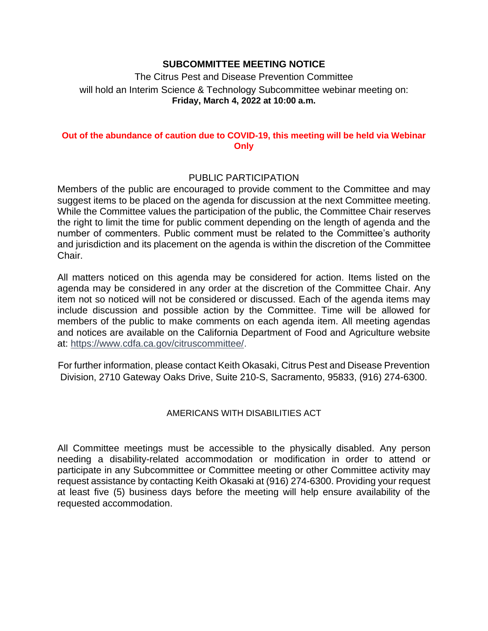### **SUBCOMMITTEE MEETING NOTICE**

The Citrus Pest and Disease Prevention Committee will hold an Interim Science & Technology Subcommittee webinar meeting on: **Friday, March 4, 2022 at 10:00 a.m.** 

#### **Out of the abundance of caution due to COVID-19, this meeting will be held via Webinar Only**

#### PUBLIC PARTICIPATION

 Members of the public are encouraged to provide comment to the Committee and may the right to limit the time for public comment depending on the length of agenda and the number of commenters. Public comment must be related to the Committee's authority suggest items to be placed on the agenda for discussion at the next Committee meeting. While the Committee values the participation of the public, the Committee Chair reserves and jurisdiction and its placement on the agenda is within the discretion of the Committee Chair.

 All matters noticed on this agenda may be considered for action. Items listed on the agenda may be considered in any order at the discretion of the Committee Chair. Any item not so noticed will not be considered or discussed. Each of the agenda items may include discussion and possible action by the Committee. Time will be allowed for members of the public to make comments on each agenda item. All meeting agendas and notices are available on the California Department of Food and Agriculture website at: [https://www.cdfa.ca.gov/citruscommittee/.](https://www.cdfa.ca.gov/citruscommittee/)

For further information, please contact Keith Okasaki, Citrus Pest and Disease Prevention Division, 2710 Gateway Oaks Drive, Suite 210-S, Sacramento, 95833, (916) 274-6300.

### AMERICANS WITH DISABILITIES ACT

 All Committee meetings must be accessible to the physically disabled. Any person participate in any Subcommittee or Committee meeting or other Committee activity may at least five (5) business days before the meeting will help ensure availability of the needing a disability-related accommodation or modification in order to attend or request assistance by contacting Keith Okasaki at (916) 274-6300. Providing your request requested accommodation.